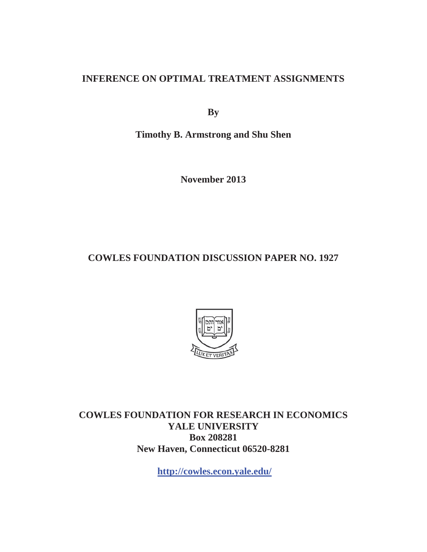## **INFERENCE ON OPTIMAL TREATMENT ASSIGNMENTS**

**By**

**Timothy B. Armstrong and Shu Shen** 

**November 2013** 

**COWLES FOUNDATION DISCUSSION PAPER NO. 1927** 



**COWLES FOUNDATION FOR RESEARCH IN ECONOMICS YALE UNIVERSITY Box 208281 New Haven, Connecticut 06520-8281** 

**http://cowles.econ.yale.edu/**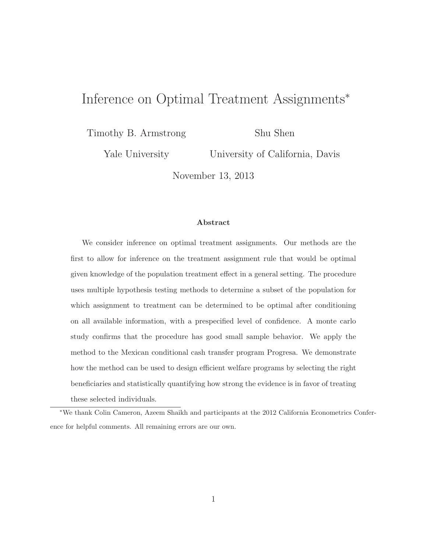# Inference on Optimal Treatment Assignments<sup>∗</sup>

Timothy B. Armstrong

Shu Shen

Yale University

University of California, Davis

November 13, 2013

#### **Abstract**

We consider inference on optimal treatment assignments. Our methods are the first to allow for inference on the treatment assignment rule that would be optimal given knowledge of the population treatment effect in a general setting. The procedure uses multiple hypothesis testing methods to determine a subset of the population for which assignment to treatment can be determined to be optimal after conditioning on all available information, with a prespecified level of confidence. A monte carlo study confirms that the procedure has good small sample behavior. We apply the method to the Mexican conditional cash transfer program Progresa. We demonstrate how the method can be used to design efficient welfare programs by selecting the right beneficiaries and statistically quantifying how strong the evidence is in favor of treating these selected individuals.

∗We thank Colin Cameron, Azeem Shaikh and participants at the 2012 California Econometrics Conference for helpful comments. All remaining errors are our own.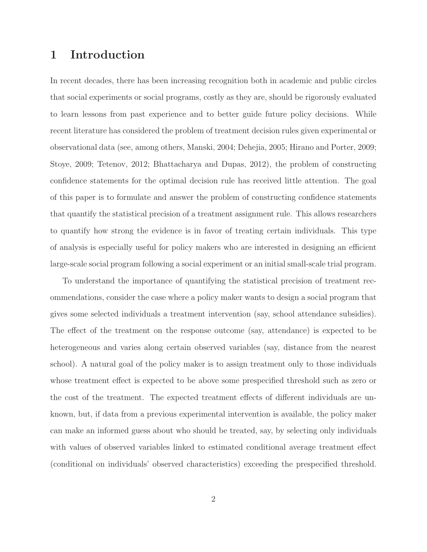### **1 Introduction**

In recent decades, there has been increasing recognition both in academic and public circles that social experiments or social programs, costly as they are, should be rigorously evaluated to learn lessons from past experience and to better guide future policy decisions. While recent literature has considered the problem of treatment decision rules given experimental or observational data (see, among others, Manski, 2004; Dehejia, 2005; Hirano and Porter, 2009; Stoye, 2009; Tetenov, 2012; Bhattacharya and Dupas, 2012), the problem of constructing confidence statements for the optimal decision rule has received little attention. The goal of this paper is to formulate and answer the problem of constructing confidence statements that quantify the statistical precision of a treatment assignment rule. This allows researchers to quantify how strong the evidence is in favor of treating certain individuals. This type of analysis is especially useful for policy makers who are interested in designing an efficient large-scale social program following a social experiment or an initial small-scale trial program.

To understand the importance of quantifying the statistical precision of treatment recommendations, consider the case where a policy maker wants to design a social program that gives some selected individuals a treatment intervention (say, school attendance subsidies). The effect of the treatment on the response outcome (say, attendance) is expected to be heterogeneous and varies along certain observed variables (say, distance from the nearest school). A natural goal of the policy maker is to assign treatment only to those individuals whose treatment effect is expected to be above some prespecified threshold such as zero or the cost of the treatment. The expected treatment effects of different individuals are unknown, but, if data from a previous experimental intervention is available, the policy maker can make an informed guess about who should be treated, say, by selecting only individuals with values of observed variables linked to estimated conditional average treatment effect (conditional on individuals' observed characteristics) exceeding the prespecified threshold.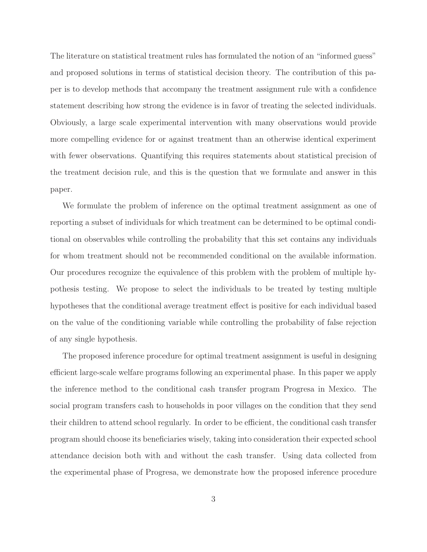The literature on statistical treatment rules has formulated the notion of an "informed guess" and proposed solutions in terms of statistical decision theory. The contribution of this paper is to develop methods that accompany the treatment assignment rule with a confidence statement describing how strong the evidence is in favor of treating the selected individuals. Obviously, a large scale experimental intervention with many observations would provide more compelling evidence for or against treatment than an otherwise identical experiment with fewer observations. Quantifying this requires statements about statistical precision of the treatment decision rule, and this is the question that we formulate and answer in this paper.

We formulate the problem of inference on the optimal treatment assignment as one of reporting a subset of individuals for which treatment can be determined to be optimal conditional on observables while controlling the probability that this set contains any individuals for whom treatment should not be recommended conditional on the available information. Our procedures recognize the equivalence of this problem with the problem of multiple hypothesis testing. We propose to select the individuals to be treated by testing multiple hypotheses that the conditional average treatment effect is positive for each individual based on the value of the conditioning variable while controlling the probability of false rejection of any single hypothesis.

The proposed inference procedure for optimal treatment assignment is useful in designing efficient large-scale welfare programs following an experimental phase. In this paper we apply the inference method to the conditional cash transfer program Progresa in Mexico. The social program transfers cash to households in poor villages on the condition that they send their children to attend school regularly. In order to be efficient, the conditional cash transfer program should choose its beneficiaries wisely, taking into consideration their expected school attendance decision both with and without the cash transfer. Using data collected from the experimental phase of Progresa, we demonstrate how the proposed inference procedure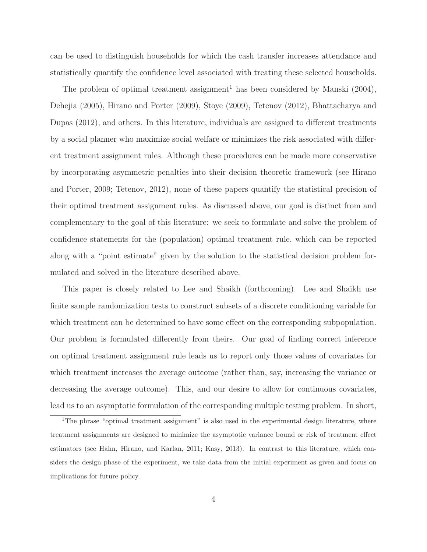can be used to distinguish households for which the cash transfer increases attendance and statistically quantify the confidence level associated with treating these selected households.

The problem of optimal treatment assignment<sup>1</sup> has been considered by Manski  $(2004)$ , Dehejia (2005), Hirano and Porter (2009), Stoye (2009), Tetenov (2012), Bhattacharya and Dupas (2012), and others. In this literature, individuals are assigned to different treatments by a social planner who maximize social welfare or minimizes the risk associated with different treatment assignment rules. Although these procedures can be made more conservative by incorporating asymmetric penalties into their decision theoretic framework (see Hirano and Porter, 2009; Tetenov, 2012), none of these papers quantify the statistical precision of their optimal treatment assignment rules. As discussed above, our goal is distinct from and complementary to the goal of this literature: we seek to formulate and solve the problem of confidence statements for the (population) optimal treatment rule, which can be reported along with a "point estimate" given by the solution to the statistical decision problem formulated and solved in the literature described above.

This paper is closely related to Lee and Shaikh (forthcoming). Lee and Shaikh use finite sample randomization tests to construct subsets of a discrete conditioning variable for which treatment can be determined to have some effect on the corresponding subpopulation. Our problem is formulated differently from theirs. Our goal of finding correct inference on optimal treatment assignment rule leads us to report only those values of covariates for which treatment increases the average outcome (rather than, say, increasing the variance or decreasing the average outcome). This, and our desire to allow for continuous covariates, lead us to an asymptotic formulation of the corresponding multiple testing problem. In short,

<sup>&</sup>lt;sup>1</sup>The phrase "optimal treatment assignment" is also used in the experimental design literature, where treatment assignments are designed to minimize the asymptotic variance bound or risk of treatment effect estimators (see Hahn, Hirano, and Karlan, 2011; Kasy, 2013). In contrast to this literature, which considers the design phase of the experiment, we take data from the initial experiment as given and focus on implications for future policy.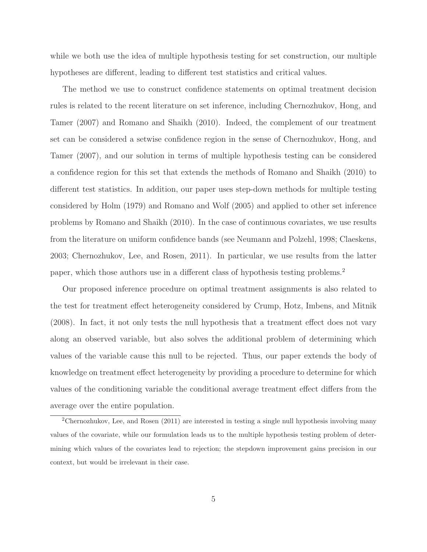while we both use the idea of multiple hypothesis testing for set construction, our multiple hypotheses are different, leading to different test statistics and critical values.

The method we use to construct confidence statements on optimal treatment decision rules is related to the recent literature on set inference, including Chernozhukov, Hong, and Tamer (2007) and Romano and Shaikh (2010). Indeed, the complement of our treatment set can be considered a setwise confidence region in the sense of Chernozhukov, Hong, and Tamer (2007), and our solution in terms of multiple hypothesis testing can be considered a confidence region for this set that extends the methods of Romano and Shaikh (2010) to different test statistics. In addition, our paper uses step-down methods for multiple testing considered by Holm (1979) and Romano and Wolf (2005) and applied to other set inference problems by Romano and Shaikh (2010). In the case of continuous covariates, we use results from the literature on uniform confidence bands (see Neumann and Polzehl, 1998; Claeskens, 2003; Chernozhukov, Lee, and Rosen, 2011). In particular, we use results from the latter paper, which those authors use in a different class of hypothesis testing problems.<sup>2</sup>

Our proposed inference procedure on optimal treatment assignments is also related to the test for treatment effect heterogeneity considered by Crump, Hotz, Imbens, and Mitnik (2008). In fact, it not only tests the null hypothesis that a treatment effect does not vary along an observed variable, but also solves the additional problem of determining which values of the variable cause this null to be rejected. Thus, our paper extends the body of knowledge on treatment effect heterogeneity by providing a procedure to determine for which values of the conditioning variable the conditional average treatment effect differs from the average over the entire population.

<sup>2</sup>Chernozhukov, Lee, and Rosen (2011) are interested in testing a single null hypothesis involving many values of the covariate, while our formulation leads us to the multiple hypothesis testing problem of determining which values of the covariates lead to rejection; the stepdown improvement gains precision in our context, but would be irrelevant in their case.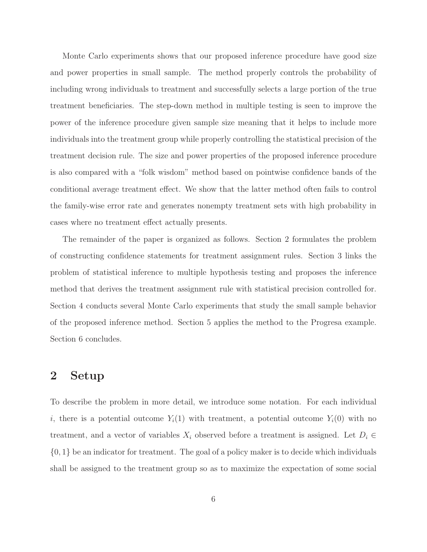Monte Carlo experiments shows that our proposed inference procedure have good size and power properties in small sample. The method properly controls the probability of including wrong individuals to treatment and successfully selects a large portion of the true treatment beneficiaries. The step-down method in multiple testing is seen to improve the power of the inference procedure given sample size meaning that it helps to include more individuals into the treatment group while properly controlling the statistical precision of the treatment decision rule. The size and power properties of the proposed inference procedure is also compared with a "folk wisdom" method based on pointwise confidence bands of the conditional average treatment effect. We show that the latter method often fails to control the family-wise error rate and generates nonempty treatment sets with high probability in cases where no treatment effect actually presents.

The remainder of the paper is organized as follows. Section 2 formulates the problem of constructing confidence statements for treatment assignment rules. Section 3 links the problem of statistical inference to multiple hypothesis testing and proposes the inference method that derives the treatment assignment rule with statistical precision controlled for. Section 4 conducts several Monte Carlo experiments that study the small sample behavior of the proposed inference method. Section 5 applies the method to the Progresa example. Section 6 concludes.

### **2 Setup**

To describe the problem in more detail, we introduce some notation. For each individual i, there is a potential outcome  $Y_i(1)$  with treatment, a potential outcome  $Y_i(0)$  with no treatment, and a vector of variables  $X_i$  observed before a treatment is assigned. Let  $D_i \in$  $\{0, 1\}$  be an indicator for treatment. The goal of a policy maker is to decide which individuals shall be assigned to the treatment group so as to maximize the expectation of some social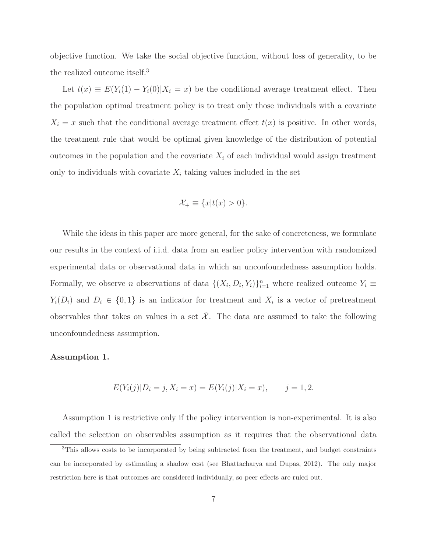objective function. We take the social objective function, without loss of generality, to be the realized outcome itself.<sup>3</sup>

Let  $t(x) \equiv E(Y_i(1) - Y_i(0)|X_i = x)$  be the conditional average treatment effect. Then the population optimal treatment policy is to treat only those individuals with a covariate  $X_i = x$  such that the conditional average treatment effect  $t(x)$  is positive. In other words, the treatment rule that would be optimal given knowledge of the distribution of potential outcomes in the population and the covariate  $X_i$  of each individual would assign treatment only to individuals with covariate  $X_i$  taking values included in the set

$$
\mathcal{X}_+ \equiv \{x|t(x) > 0\}.
$$

While the ideas in this paper are more general, for the sake of concreteness, we formulate our results in the context of i.i.d. data from an earlier policy intervention with randomized experimental data or observational data in which an unconfoundedness assumption holds. Formally, we observe n observations of data  $\{(X_i, D_i, Y_i)\}_{i=1}^n$  where realized outcome  $Y_i \equiv$  $Y_i(D_i)$  and  $D_i \in \{0,1\}$  is an indicator for treatment and  $X_i$  is a vector of pretreatment observables that takes on values in a set  $\tilde{\mathcal{X}}$ . The data are assumed to take the following unconfoundedness assumption.

#### **Assumption 1.**

$$
E(Y_i(j)|D_i = j, X_i = x) = E(Y_i(j)|X_i = x), \qquad j = 1, 2.
$$

Assumption 1 is restrictive only if the policy intervention is non-experimental. It is also called the selection on observables assumption as it requires that the observational data

<sup>3</sup>This allows costs to be incorporated by being subtracted from the treatment, and budget constraints can be incorporated by estimating a shadow cost (see Bhattacharya and Dupas, 2012). The only major restriction here is that outcomes are considered individually, so peer effects are ruled out.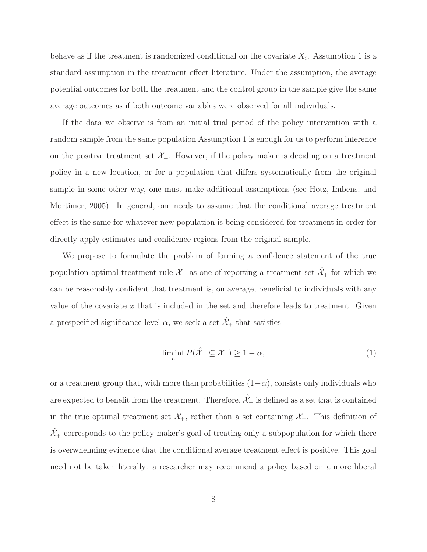behave as if the treatment is randomized conditional on the covariate  $X_i$ . Assumption 1 is a standard assumption in the treatment effect literature. Under the assumption, the average potential outcomes for both the treatment and the control group in the sample give the same average outcomes as if both outcome variables were observed for all individuals.

If the data we observe is from an initial trial period of the policy intervention with a random sample from the same population Assumption 1 is enough for us to perform inference on the positive treatment set  $\mathcal{X}_+$ . However, if the policy maker is deciding on a treatment policy in a new location, or for a population that differs systematically from the original sample in some other way, one must make additional assumptions (see Hotz, Imbens, and Mortimer, 2005). In general, one needs to assume that the conditional average treatment effect is the same for whatever new population is being considered for treatment in order for directly apply estimates and confidence regions from the original sample.

We propose to formulate the problem of forming a confidence statement of the true population optimal treatment rule  $\mathcal{X}_+$  as one of reporting a treatment set  $\hat{\mathcal{X}}_+$  for which we can be reasonably confident that treatment is, on average, beneficial to individuals with any value of the covariate  $x$  that is included in the set and therefore leads to treatment. Given a prespecified significance level  $\alpha$ , we seek a set  $\hat{\mathcal{X}}_+$  that satisfies

$$
\liminf_{n} P(\hat{\mathcal{X}}_{+} \subseteq \mathcal{X}_{+}) \ge 1 - \alpha,
$$
\n(1)

or a treatment group that, with more than probabilities  $(1-\alpha)$ , consists only individuals who are expected to benefit from the treatment. Therefore,  $\hat{\mathcal{X}}_+$  is defined as a set that is contained in the true optimal treatment set  $\mathcal{X}_+$ , rather than a set containing  $\mathcal{X}_+$ . This definition of  $\hat{\mathcal{X}}_+$  corresponds to the policy maker's goal of treating only a subpopulation for which there is overwhelming evidence that the conditional average treatment effect is positive. This goal need not be taken literally: a researcher may recommend a policy based on a more liberal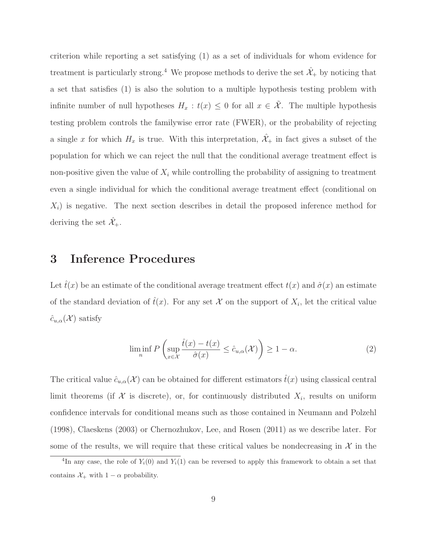criterion while reporting a set satisfying (1) as a set of individuals for whom evidence for treatment is particularly strong.<sup>4</sup> We propose methods to derive the set  $\hat{\mathcal{X}}_+$  by noticing that a set that satisfies (1) is also the solution to a multiple hypothesis testing problem with infinite number of null hypotheses  $H_x : t(x) \leq 0$  for all  $x \in \tilde{\mathcal{X}}$ . The multiple hypothesis testing problem controls the familywise error rate (FWER), or the probability of rejecting a single x for which  $H_x$  is true. With this interpretation,  $\hat{\mathcal{X}}_+$  in fact gives a subset of the population for which we can reject the null that the conditional average treatment effect is non-positive given the value of  $X_i$  while controlling the probability of assigning to treatment even a single individual for which the conditional average treatment effect (conditional on  $X_i$ ) is negative. The next section describes in detail the proposed inference method for deriving the set  $\hat{\mathcal{X}}_+$ .

## **3 Inference Procedures**

Let  $\hat{t}(x)$  be an estimate of the conditional average treatment effect  $t(x)$  and  $\hat{\sigma}(x)$  an estimate of the standard deviation of  $\hat{t}(x)$ . For any set X on the support of  $X_i$ , let the critical value  $\hat{c}_{u,\alpha}(\mathcal{X})$  satisfy

$$
\liminf_{n} P\left(\sup_{x \in \mathcal{X}} \frac{\hat{t}(x) - t(x)}{\hat{\sigma}(x)} \le \hat{c}_{u,\alpha}(\mathcal{X})\right) \ge 1 - \alpha.
$$
\n(2)

The critical value  $\hat{c}_{u,\alpha}(\mathcal{X})$  can be obtained for different estimators  $\hat{t}(x)$  using classical central limit theorems (if  $X$  is discrete), or, for continuously distributed  $X_i$ , results on uniform confidence intervals for conditional means such as those contained in Neumann and Polzehl (1998), Claeskens (2003) or Chernozhukov, Lee, and Rosen (2011) as we describe later. For some of the results, we will require that these critical values be nondecreasing in  $\mathcal{X}$  in the

<sup>&</sup>lt;sup>4</sup>In any case, the role of  $Y_i(0)$  and  $Y_i(1)$  can be reversed to apply this framework to obtain a set that contains  $\mathcal{X}_+$  with  $1 - \alpha$  probability.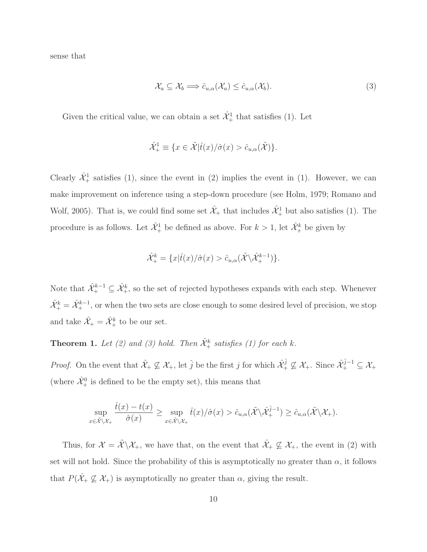sense that

$$
\mathcal{X}_a \subseteq \mathcal{X}_b \Longrightarrow \hat{c}_{u,\alpha}(\mathcal{X}_a) \leq \hat{c}_{u,\alpha}(\mathcal{X}_b). \tag{3}
$$

Given the critical value, we can obtain a set  $\hat{\mathcal{X}}_+^1$  that satisfies (1). Let

$$
\hat{\mathcal{X}}_+^1 \equiv \{ x \in \tilde{\mathcal{X}} | \hat{t}(x) / \hat{\sigma}(x) > \hat{c}_{u,\alpha}(\tilde{\mathcal{X}}) \}.
$$

Clearly  $\hat{\mathcal{X}}_+^1$  satisfies (1), since the event in (2) implies the event in (1). However, we can make improvement on inference using a step-down procedure (see Holm, 1979; Romano and Wolf, 2005). That is, we could find some set  $\hat{\mathcal{X}}_+$  that includes  $\hat{\mathcal{X}}_+^1$  but also satisfies (1). The procedure is as follows. Let  $\hat{\mathcal{X}}_+^1$  be defined as above. For  $k > 1$ , let  $\hat{\mathcal{X}}_+^k$  be given by

$$
\hat{\mathcal{X}}_{+}^{k} = \{x|\hat{t}(x)/\hat{\sigma}(x) > \hat{c}_{u,\alpha}(\tilde{\mathcal{X}} \backslash \hat{\mathcal{X}}_{+}^{k-1})\}.
$$

Note that  $\hat{\mathcal{X}}_{+}^{k-1} \subseteq \hat{\mathcal{X}}_{+}^{k}$ , so the set of rejected hypotheses expands with each step. Whenever  $\hat{\mathcal{X}}_+^k = \hat{\mathcal{X}}_+^{k-1}$ , or when the two sets are close enough to some desired level of precision, we stop and take  $\hat{\mathcal{X}}_+ = \hat{\mathcal{X}}_+^k$  to be our set.

**Theorem 1.** Let (2) and (3) hold. Then  $\hat{\mathcal{X}}^k_+$  satisfies (1) for each k.

*Proof.* On the event that  $\hat{\mathcal{X}}_+ \not\subseteq \mathcal{X}_+$ , let  $\hat{j}$  be the first j for which  $\hat{\mathcal{X}}_+^{\hat{j}} \not\subseteq \mathcal{X}_+$ . Since  $\hat{\mathcal{X}}_+^{\hat{j}-1} \subseteq \mathcal{X}_+$ (where  $\hat{\mathcal{X}}_+^0$  is defined to be the empty set), this means that

$$
\sup_{x \in \tilde{\mathcal{X}} \setminus \mathcal{X}_+} \frac{\hat{t}(x) - t(x)}{\hat{\sigma}(x)} \ge \sup_{x \in \tilde{\mathcal{X}} \setminus \mathcal{X}_+} \hat{t}(x) / \hat{\sigma}(x) > \hat{c}_{u,\alpha}(\tilde{\mathcal{X}} \setminus \hat{\mathcal{X}}_+^{\hat{j}-1}) \ge \hat{c}_{u,\alpha}(\tilde{\mathcal{X}} \setminus \mathcal{X}_+).
$$

Thus, for  $\mathcal{X} = \tilde{\mathcal{X}} \backslash \mathcal{X}_+$ , we have that, on the event that  $\hat{\mathcal{X}}_+ \nsubseteq \mathcal{X}_+$ , the event in (2) with set will not hold. Since the probability of this is asymptotically no greater than  $\alpha$ , it follows that  $P(\hat{X}_+ \not\subseteq \mathcal{X}_+)$  is asymptotically no greater than  $\alpha$ , giving the result.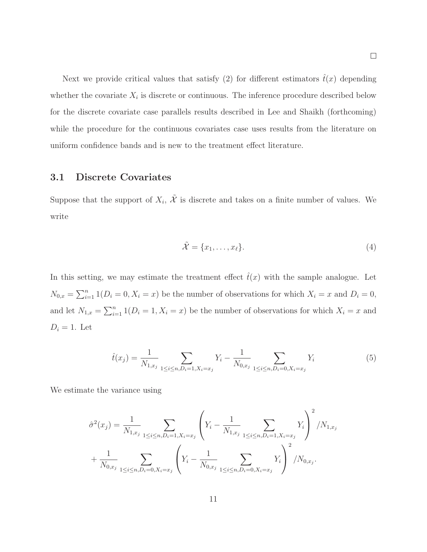Next we provide critical values that satisfy (2) for different estimators  $\hat{t}(x)$  depending whether the covariate  $X_i$  is discrete or continuous. The inference procedure described below for the discrete covariate case parallels results described in Lee and Shaikh (forthcoming) while the procedure for the continuous covariates case uses results from the literature on uniform confidence bands and is new to the treatment effect literature.

### **3.1 Discrete Covariates**

Suppose that the support of  $X_i$ ,  $\tilde{\mathcal{X}}$  is discrete and takes on a finite number of values. We write

$$
\tilde{\mathcal{X}} = \{x_1, \dots, x_\ell\}.
$$
\n<sup>(4)</sup>

In this setting, we may estimate the treatment effect  $\hat{t}(x)$  with the sample analogue. Let  $N_{0,x} = \sum_{i=1}^n 1(D_i = 0, X_i = x)$  be the number of observations for which  $X_i = x$  and  $D_i = 0$ , and let  $N_{1,x} = \sum_{i=1}^n 1(D_i = 1, X_i = x)$  be the number of observations for which  $X_i = x$  and  $D_i = 1$ . Let

$$
\hat{t}(x_j) = \frac{1}{N_{1,x_j}} \sum_{1 \le i \le n, D_i = 1, X_i = x_j} Y_i - \frac{1}{N_{0,x_j}} \sum_{1 \le i \le n, D_i = 0, X_i = x_j} Y_i
$$
\n
$$
(5)
$$

We estimate the variance using

$$
\hat{\sigma}^{2}(x_{j}) = \frac{1}{N_{1,x_{j}}} \sum_{1 \leq i \leq n, D_{i}=1, X_{i}=x_{j}} \left(Y_{i} - \frac{1}{N_{1,x_{j}}} \sum_{1 \leq i \leq n, D_{i}=1, X_{i}=x_{j}} Y_{i}\right)^{2} / N_{1,x_{j}}
$$

$$
+ \frac{1}{N_{0,x_{j}}} \sum_{1 \leq i \leq n, D_{i}=0, X_{i}=x_{j}} \left(Y_{i} - \frac{1}{N_{0,x_{j}}} \sum_{1 \leq i \leq n, D_{i}=0, X_{i}=x_{j}} Y_{i}\right)^{2} / N_{0,x_{j}}.
$$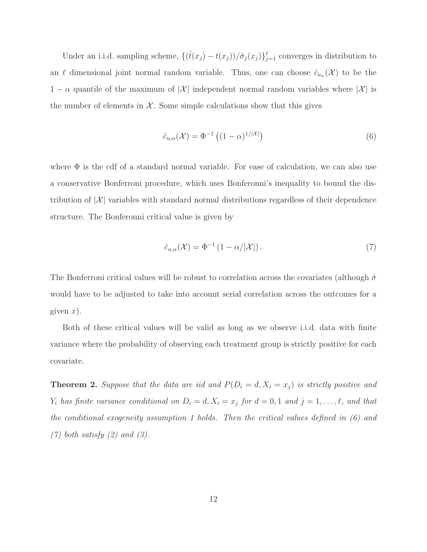Under an i.i.d. sampling scheme,  $\{(\hat{t}(x_j) - t(x_j))/\hat{\sigma}_j(x_j)\}_{j=1}^{\ell}$  converges in distribution to an  $\ell$  dimensional joint normal random variable. Thus, one can choose  $\hat{c}_{u_{\alpha}}(\mathcal{X})$  to be the  $1 - \alpha$  quantile of the maximum of  $|\mathcal{X}|$  independent normal random variables where  $|\mathcal{X}|$  is the number of elements in  $\mathcal{X}$ . Some simple calculations show that this gives

$$
\hat{c}_{u,\alpha}(\mathcal{X}) = \Phi^{-1}\left( (1-\alpha)^{1/|\mathcal{X}|} \right) \tag{6}
$$

where  $\Phi$  is the cdf of a standard normal variable. For ease of calculation, we can also use a conservative Bonferroni procedure, which uses Bonferonni's inequality to bound the distribution of  $|\mathcal{X}|$  variables with standard normal distributions regardless of their dependence structure. The Bonferonni critical value is given by

$$
\hat{c}_{u,\alpha}(\mathcal{X}) = \Phi^{-1} \left( 1 - \alpha / |\mathcal{X}| \right). \tag{7}
$$

The Bonferroni critical values will be robust to correlation across the covariates (although  $\hat{\sigma}$ would have to be adjusted to take into account serial correlation across the outcomes for a given  $x$ ).

Both of these critical values will be valid as long as we observe i.i.d. data with finite variance where the probability of observing each treatment group is strictly positive for each covariate.

**Theorem 2.** Suppose that the data are iid and  $P(D_i = d, X_i = x_j)$  is strictly positive and  $Y_i$  has finite variance conditional on  $D_i = d, X_i = x_j$  for  $d = 0, 1$  and  $j = 1, ..., \ell$ , and that the conditional exogeneity assumption 1 holds. Then the critical values defined in (6) and  $(7)$  both satisfy  $(2)$  and  $(3)$ .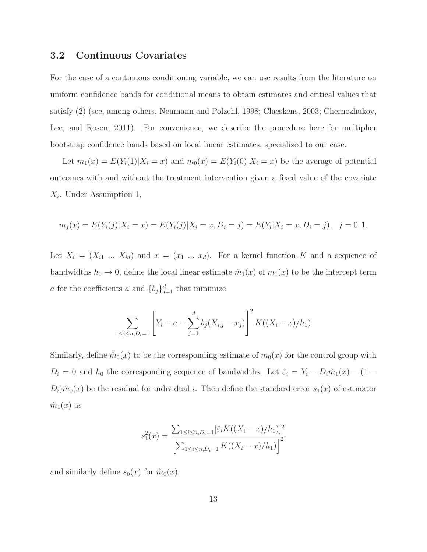#### **3.2 Continuous Covariates**

For the case of a continuous conditioning variable, we can use results from the literature on uniform confidence bands for conditional means to obtain estimates and critical values that satisfy (2) (see, among others, Neumann and Polzehl, 1998; Claeskens, 2003; Chernozhukov, Lee, and Rosen, 2011). For convenience, we describe the procedure here for multiplier bootstrap confidence bands based on local linear estimates, specialized to our case.

Let  $m_1(x) = E(Y_i(1)|X_i = x)$  and  $m_0(x) = E(Y_i(0)|X_i = x)$  be the average of potential outcomes with and without the treatment intervention given a fixed value of the covariate  $X_i$ . Under Assumption 1,

$$
m_j(x) = E(Y_i(j)|X_i = x) = E(Y_i(j)|X_i = x, D_i = j) = E(Y_i|X_i = x, D_i = j), \ \ j = 0, 1.
$$

Let  $X_i = (X_{i1} \dots X_{id})$  and  $x = (x_1 \dots x_d)$ . For a kernel function K and a sequence of bandwidths  $h_1 \to 0$ , define the local linear estimate  $\hat{m}_1(x)$  of  $m_1(x)$  to be the intercept term a for the coefficients a and  ${b_j}_{j=1}^d$  that minimize

$$
\sum_{1 \le i \le n, D_i = 1} \left[ Y_i - a - \sum_{j=1}^d b_j (X_{i,j} - x_j) \right]^2 K((X_i - x)/h_1)
$$

Similarly, define  $\hat{m}_0(x)$  to be the corresponding estimate of  $m_0(x)$  for the control group with  $D_i = 0$  and  $h_0$  the corresponding sequence of bandwidths. Let  $\hat{\varepsilon}_i = Y_i - D_i \hat{m}_1(x) - (1 D_i$ ) $\hat{m}_0(x)$  be the residual for individual i. Then define the standard error  $s_1(x)$  of estimator  $\hat{m}_1(x)$  as

$$
s_1^2(x) = \frac{\sum_{1 \le i \le n, D_i=1} [\hat{\varepsilon}_i K((X_i - x)/h_1)]^2}{\left[\sum_{1 \le i \le n, D_i=1} K((X_i - x)/h_1)\right]^2}
$$

and similarly define  $s_0(x)$  for  $\hat{m}_0(x)$ .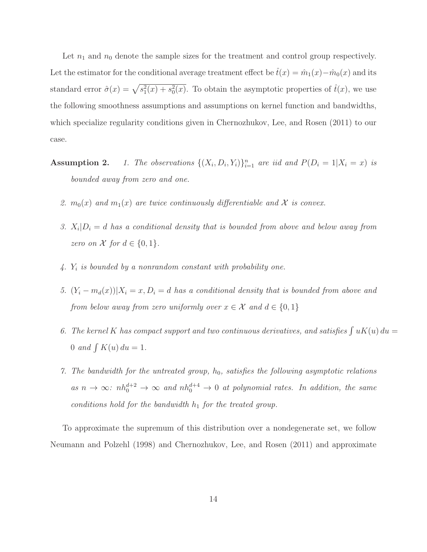Let  $n_1$  and  $n_0$  denote the sample sizes for the treatment and control group respectively. Let the estimator for the conditional average treatment effect be  $\hat{t}(x) = \hat{m}_1(x) - \hat{m}_0(x)$  and its standard error  $\hat{\sigma}(x) = \sqrt{s_1^2(x) + s_0^2(x)}$ . To obtain the asymptotic properties of  $\hat{t}(x)$ , we use the following smoothness assumptions and assumptions on kernel function and bandwidths, which specialize regularity conditions given in Chernozhukov, Lee, and Rosen (2011) to our case.

- **Assumption 2.** 1. The observations  $\{(X_i, D_i, Y_i)\}_{i=1}^n$  are iid and  $P(D_i = 1 | X_i = x)$  is bounded away from zero and one.
	- 2.  $m_0(x)$  and  $m_1(x)$  are twice continuously differentiable and X is convex.
	- 3.  $X_i|D_i = d$  has a conditional density that is bounded from above and below away from zero on X for  $d \in \{0, 1\}$ .
	- 4.  $Y_i$  is bounded by a nonrandom constant with probability one.
	- 5.  $(Y_i m_d(x))|X_i = x, D_i = d$  has a conditional density that is bounded from above and from below away from zero uniformly over  $x \in \mathcal{X}$  and  $d \in \{0,1\}$
	- 6. The kernel K has compact support and two continuous derivatives, and satisfies  $\int uK(u)\,du =$ 0 and  $\int K(u) du = 1$ .
	- 7. The bandwidth for the untreated group,  $h_0$ , satisfies the following asymptotic relations as  $n \to \infty$ :  $nh_0^{d+2} \to \infty$  and  $nh_0^{d+4} \to 0$  at polynomial rates. In addition, the same conditions hold for the bandwidth  $h_1$  for the treated group.

To approximate the supremum of this distribution over a nondegenerate set, we follow Neumann and Polzehl (1998) and Chernozhukov, Lee, and Rosen (2011) and approximate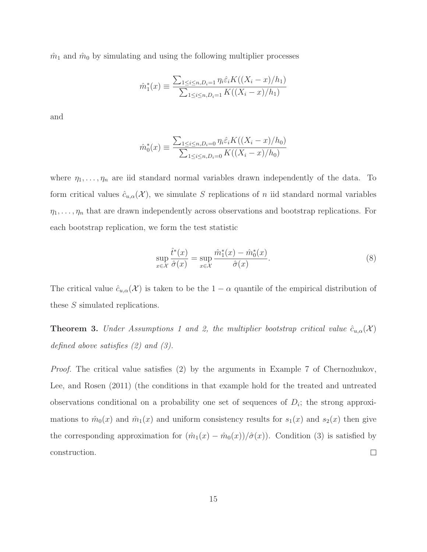$\hat{m}_1$  and  $\hat{m}_0$  by simulating and using the following multiplier processes

$$
\hat{m}_1^*(x) \equiv \frac{\sum_{1 \le i \le n, D_i = 1} \eta_i \hat{\varepsilon}_i K((X_i - x)/h_1)}{\sum_{1 \le i \le n, D_i = 1} K((X_i - x)/h_1)}
$$

and

$$
\hat{m}_0^*(x) \equiv \frac{\sum_{1 \le i \le n, D_i = 0} \eta_i \hat{\varepsilon}_i K((X_i - x)/h_0)}{\sum_{1 \le i \le n, D_i = 0} K((X_i - x)/h_0)}
$$

where  $\eta_1, \ldots, \eta_n$  are iid standard normal variables drawn independently of the data. To form critical values  $\hat{c}_{u,\alpha}(\mathcal{X})$ , we simulate S replications of n iid standard normal variables  $\eta_1,\ldots,\eta_n$  that are drawn independently across observations and bootstrap replications. For each bootstrap replication, we form the test statistic

$$
\sup_{x \in \mathcal{X}} \frac{\hat{t}^*(x)}{\hat{\sigma}(x)} = \sup_{x \in \mathcal{X}} \frac{\hat{m}_1^*(x) - \hat{m}_0^*(x)}{\hat{\sigma}(x)}.
$$
\n(8)

The critical value  $\hat{c}_{u,\alpha}(\mathcal{X})$  is taken to be the  $1-\alpha$  quantile of the empirical distribution of these S simulated replications.

**Theorem 3.** Under Assumptions 1 and 2, the multiplier bootstrap critical value  $\hat{c}_{u,\alpha}(\mathcal{X})$ defined above satisfies (2) and (3).

Proof. The critical value satisfies (2) by the arguments in Example 7 of Chernozhukov, Lee, and Rosen (2011) (the conditions in that example hold for the treated and untreated observations conditional on a probability one set of sequences of  $D_i$ ; the strong approximations to  $\hat{m}_0(x)$  and  $\hat{m}_1(x)$  and uniform consistency results for  $s_1(x)$  and  $s_2(x)$  then give the corresponding approximation for  $(\hat{m}_1(x) - \hat{m}_0(x))/\hat{\sigma}(x)$ . Condition (3) is satisfied by construction.  $\Box$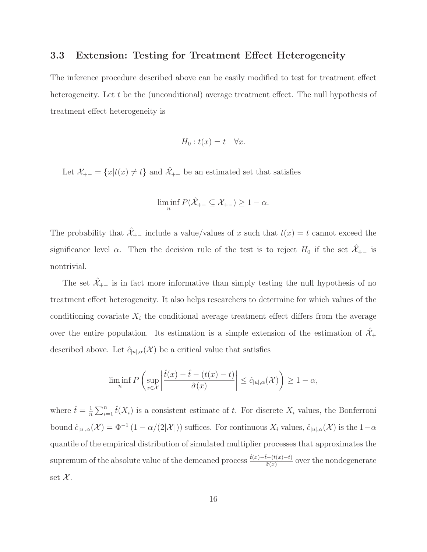### **3.3 Extension: Testing for Treatment Effect Heterogeneity**

The inference procedure described above can be easily modified to test for treatment effect heterogeneity. Let t be the (unconditional) average treatment effect. The null hypothesis of treatment effect heterogeneity is

$$
H_0: t(x) = t \quad \forall x.
$$

Let  $\mathcal{X}_{+-} = \{x | t(x) \neq t\}$  and  $\hat{\mathcal{X}}_{+-}$  be an estimated set that satisfies

$$
\liminf_{n} P(\hat{X}_{+-} \subseteq X_{+-}) \ge 1 - \alpha.
$$

The probability that  $\hat{\mathcal{X}}_{+-}$  include a value/values of x such that  $t(x) = t$  cannot exceed the significance level  $\alpha$ . Then the decision rule of the test is to reject  $H_0$  if the set  $\hat{\mathcal{X}}_{+-}$  is nontrivial.

The set  $\hat{\mathcal{X}}_{+-}$  is in fact more informative than simply testing the null hypothesis of no treatment effect heterogeneity. It also helps researchers to determine for which values of the conditioning covariate  $X_i$  the conditional average treatment effect differs from the average over the entire population. Its estimation is a simple extension of the estimation of  $\hat{\mathcal{X}}_+$ described above. Let  $\hat{c}_{|u|,\alpha}(\mathcal{X})$  be a critical value that satisfies

$$
\liminf_n P\left(\sup_{x\in\mathcal{X}}\left|\frac{\widehat{t}(x)-\widehat{t}-(t(x)-t)}{\widehat{\sigma}(x)}\right|\leq \widehat{c}_{|u|,\alpha}(\mathcal{X})\right)\geq 1-\alpha,
$$

where  $\hat{t} = \frac{1}{n} \sum_{i=1}^{n} \hat{t}(X_i)$  is a consistent estimate of t. For discrete  $X_i$  values, the Bonferroni bound  $\hat{c}_{|u|,\alpha}(\mathcal{X})=\Phi^{-1}(1-\alpha/(2|\mathcal{X}|))$  suffices. For continuous  $X_i$  values,  $\hat{c}_{|u|,\alpha}(\mathcal{X})$  is the  $1-\alpha$ quantile of the empirical distribution of simulated multiplier processes that approximates the supremum of the absolute value of the demeaned process  $\frac{\hat{t}(x)-\hat{t}-(t(x)-t)}{\hat{\sigma}(x)}$  over the nondegenerate set  $\mathcal{X}$ .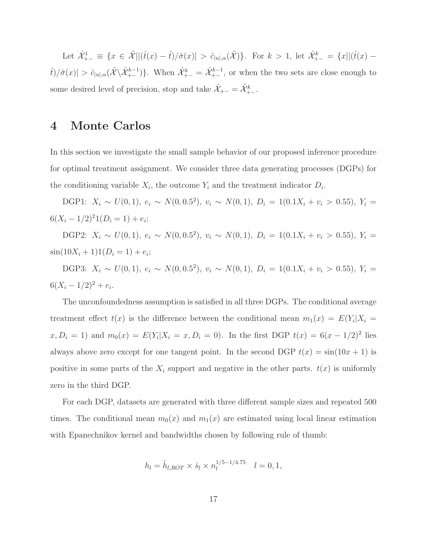Let  $\hat{\mathcal{X}}_{+-}^1 \equiv \{x \in \tilde{\mathcal{X}} \mid |(\hat{t}(x) - \hat{t})/\hat{\sigma}(x)| > \hat{c}_{|u|,\alpha}(\tilde{\mathcal{X}})\}\.$  For  $k > 1$ , let  $\hat{\mathcal{X}}_{+-}^k = \{x\mid |(\hat{t}(x) - \hat{t})/\hat{\sigma}(x)| > \hat{c}_{|u|,\alpha}(\tilde{\mathcal{X}})\}\.$  $\hat{t}/\hat{\sigma}(x)| > \hat{c}_{|u|,\alpha}(\tilde{\mathcal{X}} \setminus \hat{\mathcal{X}}_{+-}^{k-1})\}.$  When  $\hat{\mathcal{X}}_{+-}^k = \hat{\mathcal{X}}_{+-}^{k-1}$ , or when the two sets are close enough to some desired level of precision, stop and take  $\hat{\mathcal{X}}_{+-} = \hat{\mathcal{X}}_{+-}^k$ .

### **4 Monte Carlos**

In this section we investigate the small sample behavior of our proposed inference procedure for optimal treatment assignment. We consider three data generating processes (DGPs) for the conditioning variable  $X_i$ , the outcome  $Y_i$  and the treatment indicator  $D_i$ .

DGP1:  $X_i \sim U(0, 1)$ ,  $e_i \sim N(0, 0.5^2)$ ,  $v_i \sim N(0, 1)$ ,  $D_i = 1(0.1X_i + v_i > 0.55)$ ,  $Y_i =$  $6(X_i - 1/2)^21(D_i = 1) + e_i;$ 

DGP2:  $X_i \sim U(0, 1), e_i \sim N(0, 0.5^2), v_i \sim N(0, 1), D_i = 1(0.1X_i + v_i > 0.55), Y_i =$  $\sin(10X_i + 1)1(D_i = 1) + e_i;$ 

DGP3:  $X_i \sim U(0, 1), e_i \sim N(0, 0.5^2), v_i \sim N(0, 1), D_i = 1(0.1X_i + v_i > 0.55), Y_i =$  $6(X_i - 1/2)^2 + e_i$ .

The unconfoundedness assumption is satisfied in all three DGPs. The conditional average treatment effect  $t(x)$  is the difference between the conditional mean  $m_1(x) = E(Y_i|X_i =$  $x, D_i = 1$  and  $m_0(x) = E(Y_i | X_i = x, D_i = 0)$ . In the first DGP  $t(x) = 6(x - 1/2)^2$  lies always above zero except for one tangent point. In the second DGP  $t(x) = \sin(10x + 1)$  is positive in some parts of the  $X_i$  support and negative in the other parts.  $t(x)$  is uniformly zero in the third DGP.

For each DGP, datasets are generated with three different sample sizes and repeated 500 times. The conditional mean  $m_0(x)$  and  $m_1(x)$  are estimated using local linear estimation with Epanechnikov kernel and bandwidths chosen by following rule of thumb:

$$
h_l = \hat{h}_{l,ROT} \times \hat{s}_l \times n_l^{1/5 - 1/4.75} \quad l = 0, 1,
$$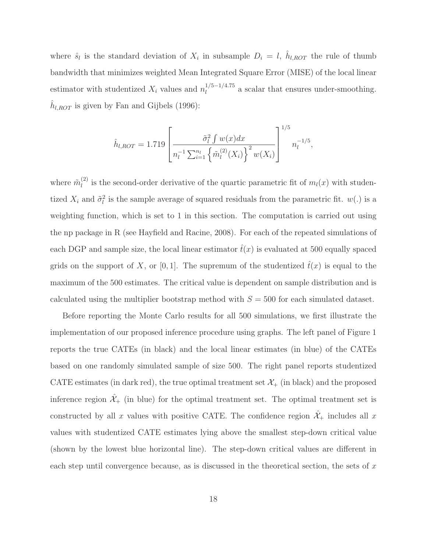where  $\hat{s}_l$  is the standard deviation of  $X_i$  in subsample  $D_i = l$ ,  $h_{l,ROT}$  the rule of thumb bandwidth that minimizes weighted Mean Integrated Square Error (MISE) of the local linear estimator with studentized  $X_i$  values and  $n_l^{1/5-1/4.75}$  a scalar that ensures under-smoothing.  $\hat{h}_{l,ROT}$  is given by Fan and Gijbels (1996):

$$
\hat{h}_{l,ROT} = 1.719 \left[ \frac{\tilde{\sigma}_l^2 \int w(x) dx}{n_l^{-1} \sum_{i=1}^{n_l} \left\{ \tilde{m}_l^{(2)}(X_i) \right\}^2 w(X_i)} \right]^{1/5} n_l^{-1/5},
$$

where  $\tilde{m}_{l}^{(2)}$  is the second-order derivative of the quartic parametric fit of  $m_{l}(x)$  with studentized  $X_i$  and  $\tilde{\sigma}_l^2$  is the sample average of squared residuals from the parametric fit.  $w(.)$  is a weighting function, which is set to 1 in this section. The computation is carried out using the np package in R (see Hayfield and Racine, 2008). For each of the repeated simulations of each DGP and sample size, the local linear estimator  $\hat{t}(x)$  is evaluated at 500 equally spaced grids on the support of X, or [0,1]. The supremum of the studentized  $\hat{t}(x)$  is equal to the maximum of the 500 estimates. The critical value is dependent on sample distribution and is calculated using the multiplier bootstrap method with  $S = 500$  for each simulated dataset.

Before reporting the Monte Carlo results for all 500 simulations, we first illustrate the implementation of our proposed inference procedure using graphs. The left panel of Figure 1 reports the true CATEs (in black) and the local linear estimates (in blue) of the CATEs based on one randomly simulated sample of size 500. The right panel reports studentized CATE estimates (in dark red), the true optimal treatment set  $\mathcal{X}_+$  (in black) and the proposed inference region  $\hat{\mathcal{X}}_+$  (in blue) for the optimal treatment set. The optimal treatment set is constructed by all x values with positive CATE. The confidence region  $\hat{\mathcal{X}}_+$  includes all x values with studentized CATE estimates lying above the smallest step-down critical value (shown by the lowest blue horizontal line). The step-down critical values are different in each step until convergence because, as is discussed in the theoretical section, the sets of  $x$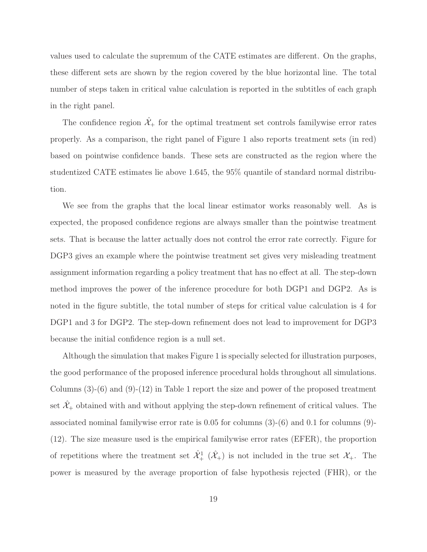values used to calculate the supremum of the CATE estimates are different. On the graphs, these different sets are shown by the region covered by the blue horizontal line. The total number of steps taken in critical value calculation is reported in the subtitles of each graph in the right panel.

The confidence region  $\hat{\mathcal{X}}_+$  for the optimal treatment set controls familywise error rates properly. As a comparison, the right panel of Figure 1 also reports treatment sets (in red) based on pointwise confidence bands. These sets are constructed as the region where the studentized CATE estimates lie above 1.645, the 95% quantile of standard normal distribution.

We see from the graphs that the local linear estimator works reasonably well. As is expected, the proposed confidence regions are always smaller than the pointwise treatment sets. That is because the latter actually does not control the error rate correctly. Figure for DGP3 gives an example where the pointwise treatment set gives very misleading treatment assignment information regarding a policy treatment that has no effect at all. The step-down method improves the power of the inference procedure for both DGP1 and DGP2. As is noted in the figure subtitle, the total number of steps for critical value calculation is 4 for DGP1 and 3 for DGP2. The step-down refinement does not lead to improvement for DGP3 because the initial confidence region is a null set.

Although the simulation that makes Figure 1 is specially selected for illustration purposes, the good performance of the proposed inference procedural holds throughout all simulations. Columns (3)-(6) and (9)-(12) in Table 1 report the size and power of the proposed treatment set  $\hat{\mathcal{X}}_+$  obtained with and without applying the step-down refinement of critical values. The associated nominal familywise error rate is 0.05 for columns (3)-(6) and 0.1 for columns (9)- (12). The size measure used is the empirical familywise error rates (EFER), the proportion of repetitions where the treatment set  $\hat{\mathcal{X}}_+^1$   $(\hat{\mathcal{X}}_+^1)$  is not included in the true set  $\mathcal{X}_+$ . The power is measured by the average proportion of false hypothesis rejected (FHR), or the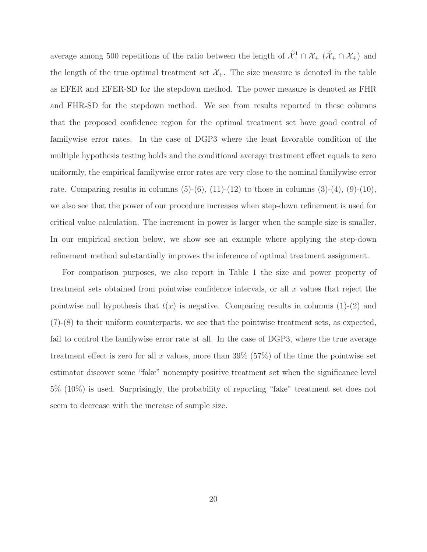average among 500 repetitions of the ratio between the length of  $\hat{\mathcal{X}}^1_+ \cap \mathcal{X}_+$   $(\hat{\mathcal{X}}_+ \cap \mathcal{X}_+)$  and the length of the true optimal treatment set  $\mathcal{X}_+$ . The size measure is denoted in the table as EFER and EFER-SD for the stepdown method. The power measure is denoted as FHR and FHR-SD for the stepdown method. We see from results reported in these columns that the proposed confidence region for the optimal treatment set have good control of familywise error rates. In the case of DGP3 where the least favorable condition of the multiple hypothesis testing holds and the conditional average treatment effect equals to zero uniformly, the empirical familywise error rates are very close to the nominal familywise error rate. Comparing results in columns  $(5)-(6)$ ,  $(11)-(12)$  to those in columns  $(3)-(4)$ ,  $(9)-(10)$ , we also see that the power of our procedure increases when step-down refinement is used for critical value calculation. The increment in power is larger when the sample size is smaller. In our empirical section below, we show see an example where applying the step-down refinement method substantially improves the inference of optimal treatment assignment.

For comparison purposes, we also report in Table 1 the size and power property of treatment sets obtained from pointwise confidence intervals, or all  $x$  values that reject the pointwise null hypothesis that  $t(x)$  is negative. Comparing results in columns (1)-(2) and (7)-(8) to their uniform counterparts, we see that the pointwise treatment sets, as expected, fail to control the familywise error rate at all. In the case of DGP3, where the true average treatment effect is zero for all x values, more than  $39\%$  (57%) of the time the pointwise set estimator discover some "fake" nonempty positive treatment set when the significance level 5% (10%) is used. Surprisingly, the probability of reporting "fake" treatment set does not seem to decrease with the increase of sample size.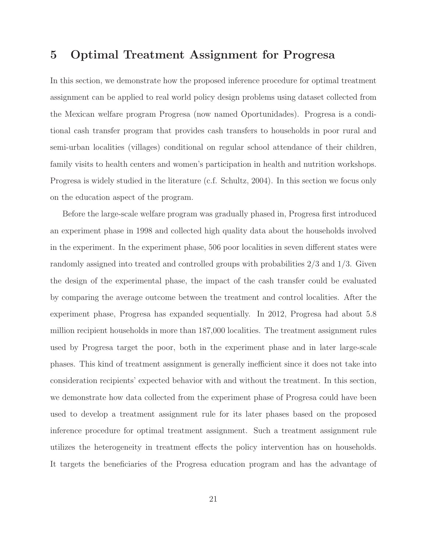### **5 Optimal Treatment Assignment for Progresa**

In this section, we demonstrate how the proposed inference procedure for optimal treatment assignment can be applied to real world policy design problems using dataset collected from the Mexican welfare program Progresa (now named Oportunidades). Progresa is a conditional cash transfer program that provides cash transfers to households in poor rural and semi-urban localities (villages) conditional on regular school attendance of their children, family visits to health centers and women's participation in health and nutrition workshops. Progresa is widely studied in the literature (c.f. Schultz, 2004). In this section we focus only on the education aspect of the program.

Before the large-scale welfare program was gradually phased in, Progresa first introduced an experiment phase in 1998 and collected high quality data about the households involved in the experiment. In the experiment phase, 506 poor localities in seven different states were randomly assigned into treated and controlled groups with probabilities 2/3 and 1/3. Given the design of the experimental phase, the impact of the cash transfer could be evaluated by comparing the average outcome between the treatment and control localities. After the experiment phase, Progresa has expanded sequentially. In 2012, Progresa had about 5.8 million recipient households in more than 187,000 localities. The treatment assignment rules used by Progresa target the poor, both in the experiment phase and in later large-scale phases. This kind of treatment assignment is generally inefficient since it does not take into consideration recipients' expected behavior with and without the treatment. In this section, we demonstrate how data collected from the experiment phase of Progresa could have been used to develop a treatment assignment rule for its later phases based on the proposed inference procedure for optimal treatment assignment. Such a treatment assignment rule utilizes the heterogeneity in treatment effects the policy intervention has on households. It targets the beneficiaries of the Progresa education program and has the advantage of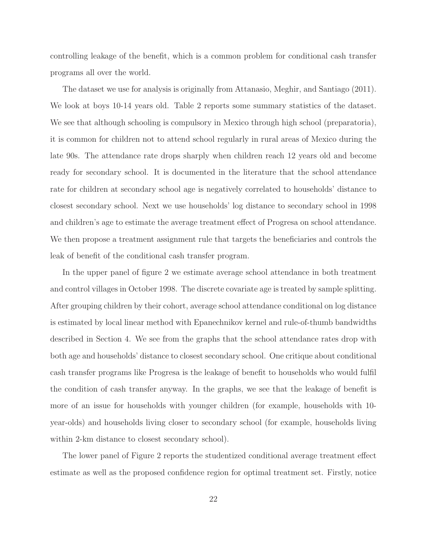controlling leakage of the benefit, which is a common problem for conditional cash transfer programs all over the world.

The dataset we use for analysis is originally from Attanasio, Meghir, and Santiago (2011). We look at boys 10-14 years old. Table 2 reports some summary statistics of the dataset. We see that although schooling is compulsory in Mexico through high school (preparatoria), it is common for children not to attend school regularly in rural areas of Mexico during the late 90s. The attendance rate drops sharply when children reach 12 years old and become ready for secondary school. It is documented in the literature that the school attendance rate for children at secondary school age is negatively correlated to households' distance to closest secondary school. Next we use households' log distance to secondary school in 1998 and children's age to estimate the average treatment effect of Progresa on school attendance. We then propose a treatment assignment rule that targets the beneficiaries and controls the leak of benefit of the conditional cash transfer program.

In the upper panel of figure 2 we estimate average school attendance in both treatment and control villages in October 1998. The discrete covariate age is treated by sample splitting. After grouping children by their cohort, average school attendance conditional on log distance is estimated by local linear method with Epanechnikov kernel and rule-of-thumb bandwidths described in Section 4. We see from the graphs that the school attendance rates drop with both age and households' distance to closest secondary school. One critique about conditional cash transfer programs like Progresa is the leakage of benefit to households who would fulfil the condition of cash transfer anyway. In the graphs, we see that the leakage of benefit is more of an issue for households with younger children (for example, households with 10 year-olds) and households living closer to secondary school (for example, households living within 2-km distance to closest secondary school).

The lower panel of Figure 2 reports the studentized conditional average treatment effect estimate as well as the proposed confidence region for optimal treatment set. Firstly, notice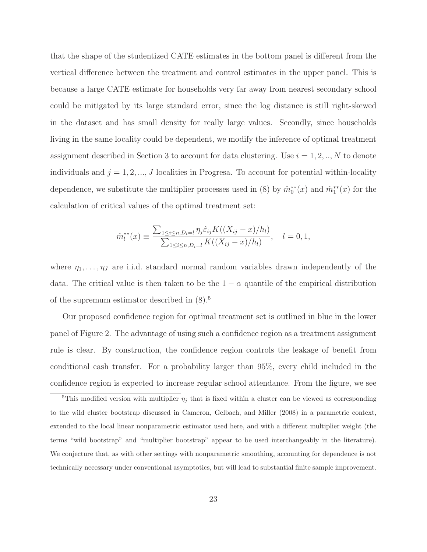that the shape of the studentized CATE estimates in the bottom panel is different from the vertical difference between the treatment and control estimates in the upper panel. This is because a large CATE estimate for households very far away from nearest secondary school could be mitigated by its large standard error, since the log distance is still right-skewed in the dataset and has small density for really large values. Secondly, since households living in the same locality could be dependent, we modify the inference of optimal treatment assignment described in Section 3 to account for data clustering. Use  $i = 1, 2, ..., N$  to denote individuals and  $j = 1, 2, ..., J$  localities in Progresa. To account for potential within-locality dependence, we substitute the multiplier processes used in (8) by  $\hat{m}_0^{**}(x)$  and  $\hat{m}_1^{**}(x)$  for the calculation of critical values of the optimal treatment set:

$$
\hat{m}_l^{**}(x) \equiv \frac{\sum_{1 \le i \le n, D_i = l} \eta_j \hat{\varepsilon}_{ij} K((X_{ij} - x)/h_l)}{\sum_{1 \le i \le n, D_i = l} K((X_{ij} - x)/h_l)}, \quad l = 0, 1,
$$

where  $\eta_1, \ldots, \eta_J$  are i.i.d. standard normal random variables drawn independently of the data. The critical value is then taken to be the  $1 - \alpha$  quantile of the empirical distribution of the supremum estimator described in (8).<sup>5</sup>

Our proposed confidence region for optimal treatment set is outlined in blue in the lower panel of Figure 2. The advantage of using such a confidence region as a treatment assignment rule is clear. By construction, the confidence region controls the leakage of benefit from conditional cash transfer. For a probability larger than 95%, every child included in the confidence region is expected to increase regular school attendance. From the figure, we see

<sup>&</sup>lt;sup>5</sup>This modified version with multiplier  $\eta_j$  that is fixed within a cluster can be viewed as corresponding to the wild cluster bootstrap discussed in Cameron, Gelbach, and Miller (2008) in a parametric context, extended to the local linear nonparametric estimator used here, and with a different multiplier weight (the terms "wild bootstrap" and "multiplier bootstrap" appear to be used interchangeably in the literature). We conjecture that, as with other settings with nonparametric smoothing, accounting for dependence is not technically necessary under conventional asymptotics, but will lead to substantial finite sample improvement.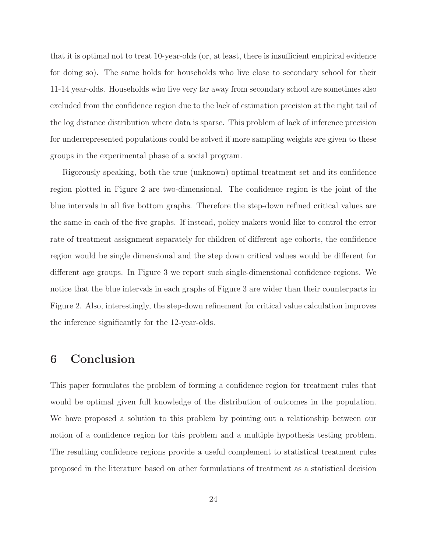that it is optimal not to treat 10-year-olds (or, at least, there is insufficient empirical evidence for doing so). The same holds for households who live close to secondary school for their 11-14 year-olds. Households who live very far away from secondary school are sometimes also excluded from the confidence region due to the lack of estimation precision at the right tail of the log distance distribution where data is sparse. This problem of lack of inference precision for underrepresented populations could be solved if more sampling weights are given to these groups in the experimental phase of a social program.

Rigorously speaking, both the true (unknown) optimal treatment set and its confidence region plotted in Figure 2 are two-dimensional. The confidence region is the joint of the blue intervals in all five bottom graphs. Therefore the step-down refined critical values are the same in each of the five graphs. If instead, policy makers would like to control the error rate of treatment assignment separately for children of different age cohorts, the confidence region would be single dimensional and the step down critical values would be different for different age groups. In Figure 3 we report such single-dimensional confidence regions. We notice that the blue intervals in each graphs of Figure 3 are wider than their counterparts in Figure 2. Also, interestingly, the step-down refinement for critical value calculation improves the inference significantly for the 12-year-olds.

## **6 Conclusion**

This paper formulates the problem of forming a confidence region for treatment rules that would be optimal given full knowledge of the distribution of outcomes in the population. We have proposed a solution to this problem by pointing out a relationship between our notion of a confidence region for this problem and a multiple hypothesis testing problem. The resulting confidence regions provide a useful complement to statistical treatment rules proposed in the literature based on other formulations of treatment as a statistical decision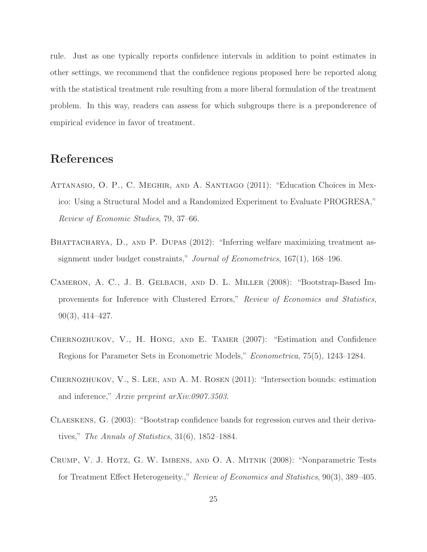rule. Just as one typically reports confidence intervals in addition to point estimates in other settings, we recommend that the confidence regions proposed here be reported along with the statistical treatment rule resulting from a more liberal formulation of the treatment problem. In this way, readers can assess for which subgroups there is a preponderence of empirical evidence in favor of treatment.

# **References**

- Attanasio, O. P., C. Meghir, and A. Santiago (2011): "Education Choices in Mexico: Using a Structural Model and a Randomized Experiment to Evaluate PROGRESA," Review of Economic Studies, 79, 37–66.
- BHATTACHARYA, D., AND P. DUPAS (2012): "Inferring welfare maximizing treatment assignment under budget constraints," *Journal of Econometrics*, 167(1), 168–196.
- Cameron, A. C., J. B. Gelbach, and D. L. Miller (2008): "Bootstrap-Based Improvements for Inference with Clustered Errors," Review of Economics and Statistics, 90(3), 414–427.
- Chernozhukov, V., H. Hong, and E. Tamer (2007): "Estimation and Confidence Regions for Parameter Sets in Econometric Models," Econometrica, 75(5), 1243–1284.
- Chernozhukov, V., S. Lee, and A. M. Rosen (2011): "Intersection bounds: estimation and inference," Arxiv preprint arXiv:0907.3503.
- Claeskens, G. (2003): "Bootstrap confidence bands for regression curves and their derivatives," The Annals of Statistics, 31(6), 1852–1884.
- Crump, V. J. Hotz, G. W. Imbens, and O. A. Mitnik (2008): "Nonparametric Tests for Treatment Effect Heterogeneity.," Review of Economics and Statistics, 90(3), 389–405.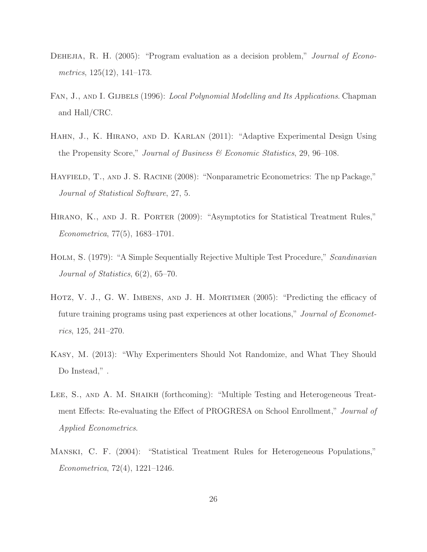- DEHEJIA, R. H. (2005): "Program evaluation as a decision problem," *Journal of Econo*metrics, 125(12), 141–173.
- FAN, J., AND I. GIJBELS (1996): Local Polynomial Modelling and Its Applications. Chapman and Hall/CRC.
- Hahn, J., K. Hirano, and D. Karlan (2011): "Adaptive Experimental Design Using the Propensity Score," Journal of Business & Economic Statistics, 29, 96-108.
- Hayfield, T., and J. S. Racine (2008): "Nonparametric Econometrics: The np Package," Journal of Statistical Software, 27, 5.
- Hirano, K., and J. R. Porter (2009): "Asymptotics for Statistical Treatment Rules," Econometrica, 77(5), 1683–1701.
- Holm, S. (1979): "A Simple Sequentially Rejective Multiple Test Procedure," Scandinavian Journal of Statistics, 6(2), 65–70.
- Hotz, V. J., G. W. Imbens, and J. H. Mortimer (2005): "Predicting the efficacy of future training programs using past experiences at other locations," Journal of Econometrics, 125, 241–270.
- Kasy, M. (2013): "Why Experimenters Should Not Randomize, and What They Should Do Instead,".
- LEE, S., AND A. M. SHAIKH (forthcoming): "Multiple Testing and Heterogeneous Treatment Effects: Re-evaluating the Effect of PROGRESA on School Enrollment," *Journal of* Applied Econometrics.
- Manski, C. F. (2004): "Statistical Treatment Rules for Heterogeneous Populations," Econometrica, 72(4), 1221–1246.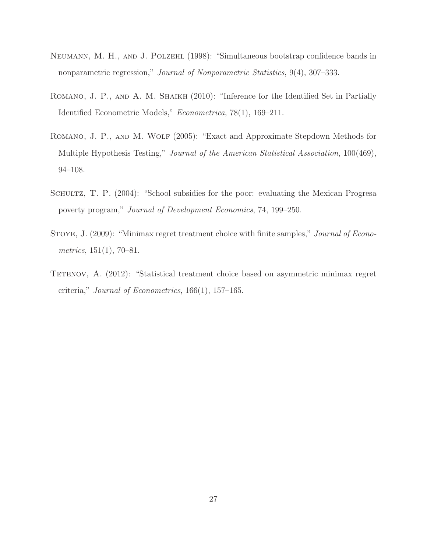- Neumann, M. H., and J. Polzehl (1998): "Simultaneous bootstrap confidence bands in nonparametric regression," Journal of Nonparametric Statistics, 9(4), 307–333.
- ROMANO, J. P., AND A. M. SHAIKH (2010): "Inference for the Identified Set in Partially Identified Econometric Models," Econometrica, 78(1), 169–211.
- ROMANO, J. P., AND M. WOLF (2005): "Exact and Approximate Stepdown Methods for Multiple Hypothesis Testing," *Journal of the American Statistical Association*, 100(469), 94–108.
- SCHULTZ, T. P. (2004): "School subsidies for the poor: evaluating the Mexican Progresa poverty program," Journal of Development Economics, 74, 199–250.
- STOYE, J. (2009): "Minimax regret treatment choice with finite samples," *Journal of Econo*metrics,  $151(1)$ ,  $70-81$ .
- TETENOV, A. (2012): "Statistical treatment choice based on asymmetric minimax regret criteria," Journal of Econometrics,  $166(1)$ ,  $157-165$ .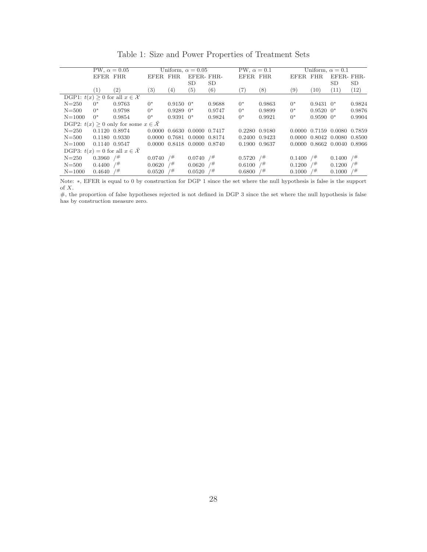|                                                       | PW, $\alpha = 0.05$     |                   | Uniform, $\alpha = 0.05$ |                |                             | PW, $\alpha = 0.1$ |               | Uniform, $\alpha = 0.1$ |          |               |                             |        |
|-------------------------------------------------------|-------------------------|-------------------|--------------------------|----------------|-----------------------------|--------------------|---------------|-------------------------|----------|---------------|-----------------------------|--------|
|                                                       | EFER FHR                |                   | EFER FHR                 |                | EFER-FHR-                   |                    | EFER FHR      |                         | EFER FHR |               | EFER-FHR-                   |        |
|                                                       |                         |                   |                          |                | <b>SD</b>                   | <b>SD</b>          |               |                         |          |               | SD                          | SD     |
|                                                       | $\left(1\right)$        | $\left( 2\right)$ | $\left( 3\right)$        | (4)            | (5)                         | (6)                | (7)           | (8)                     | (9)      | (10)          | (11)                        | (12)   |
| DGP1: $t(x) \geq 0$ for all $x \in \mathcal{X}$       |                         |                   |                          |                |                             |                    |               |                         |          |               |                             |        |
| $N = 250$                                             | $0^*$                   | 0.9763            | $0^*$                    | $0.9150$ $0^*$ |                             | 0.9688             | $0^*$         | 0.9863                  | $0^*$    | $0.9431$ $0*$ |                             | 0.9824 |
| $N = 500$                                             | $0^*$                   | 0.9798            | $0^*$                    | $0.9289$ $0*$  |                             | 0.9747             | $0^*$         | 0.9899                  | $0^*$    | $0.9520~0*$   |                             | 0.9876 |
| $N = 1000$                                            | $0^*$                   | 0.9854            | $0^*$                    | $0.9391$ $0^*$ |                             | 0.9824             | $0^*$         | 0.9921                  | $0^*$    | $0.9590~0*$   |                             | 0.9904 |
| DGP2: $t(x) \geq 0$ only for some $x \in \mathcal{X}$ |                         |                   |                          |                |                             |                    |               |                         |          |               |                             |        |
| $N = 250$                                             |                         | 0.1120 0.8974     |                          |                | 0.0000 0.6630 0.0000 0.7417 |                    |               | 0.2280 0.9180           |          |               | 0.0000 0.7159 0.0080 0.7859 |        |
| $N = 500$                                             |                         | 0.1180 0.9330     |                          |                | 0.0000 0.7681 0.0000 0.8174 |                    |               | 0.2400 0.9423           |          |               | 0.0000 0.8042 0.0080 0.8500 |        |
| $N = 1000$                                            |                         | 0.1140 0.9547     |                          |                | 0.0000 0.8418 0.0000 0.8740 |                    | 0.1900 0.9637 |                         |          |               | 0.0000 0.8662 0.0040 0.8966 |        |
| DGP3: $t(x) = 0$ for all $x \in \mathcal{X}$          |                         |                   |                          |                |                             |                    |               |                         |          |               |                             |        |
| $N = 250$                                             | $0.3960$ / <sup>#</sup> |                   | $0.0740$ / <sup>#</sup>  |                | $0.0740$ / <sup>#</sup>     |                    | 0.5720        | $/$ #                   | 0.1400   | $/$ #         | 0.1400                      | 7#     |
| $N = 500$                                             | $0.4400$ / <sup>#</sup> |                   | $0.0620$ / <sup>#</sup>  |                | 0.0620                      | 7#                 | 0.6100        | /#                      | 0.1200   | 7#            | 0.1200                      | 7#     |
| $N = 1000$                                            | 0.4640                  | 7#                | $0.0520$ /#              |                | 0.0520                      | 7#                 | 0.6800        | /#                      | 0.1000   | 7#            | 0.1000                      | /#     |
|                                                       |                         |                   |                          |                |                             |                    |               |                         |          |               |                             |        |

Note: <sup>∗</sup>, EFER is equal to 0 by construction for DGP 1 since the set where the null hypothesis is false is the support of  $\boldsymbol{X}.$ 

 $\#$ , the proportion of false hypotheses rejected is not defined in DGP 3 since the set where the null hypothesis is false has by construction measure zero.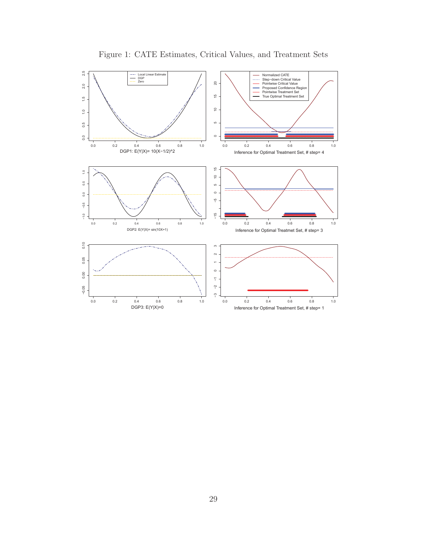

Figure 1: CATE Estimates, Critical Values, and Treatment Sets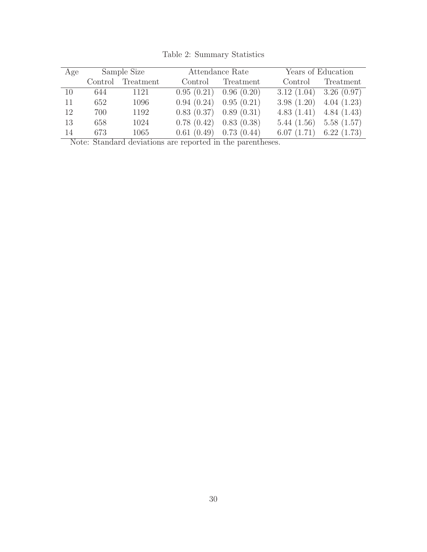|    | Age Sample Size |                   |                            | Attendance Rate   | Years of Education          |                   |  |  |
|----|-----------------|-------------------|----------------------------|-------------------|-----------------------------|-------------------|--|--|
|    |                 | Control Treatment |                            | Control Treatment |                             | Control Treatment |  |  |
| 10 |                 | 644 1121          | $0.95(0.21)$ 0.96 $(0.20)$ |                   | $3.12(1.04)$ $3.26(0.97)$   |                   |  |  |
| 11 | 652             | 1096              | $0.94(0.24)$ $0.95(0.21)$  |                   | $3.98(1.20)$ $4.04(1.23)$   |                   |  |  |
| 12 | 700             | 1192              | $0.83(0.37)$ $0.89(0.31)$  |                   | 4.83 $(1.41)$ 4.84 $(1.43)$ |                   |  |  |
| 13 | 658             | 1024              | $0.78(0.42)$ 0.83 (0.38)   |                   | $5.44(1.56)$ $5.58(1.57)$   |                   |  |  |
| 14 | 673             | 1065              | $0.61(0.49)$ 0.73 $(0.44)$ |                   | $6.07(1.71)$ $6.22(1.73)$   |                   |  |  |

Table 2: Summary Statistics

Note: Standard deviations are reported in the parentheses.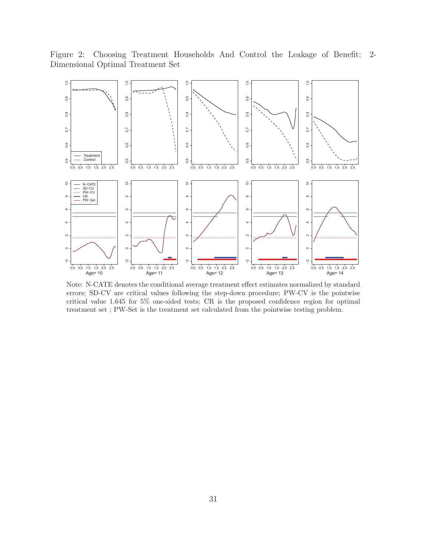Figure 2: Choosing Treatment Households And Control the Leakage of Benefit: 2- Dimensional Optimal Treatment Set



Note: N-CATE denotes the conditional average treatment effect estimates normalized by standard errors; SD-CV are critical values following the step-down procedure; PW-CV is the pointwise critical value 1.645 for 5% one-sided tests; CR is the proposed confidence region for optimal treatment set ; PW-Set is the treatment set calculated from the pointwise testing problem.